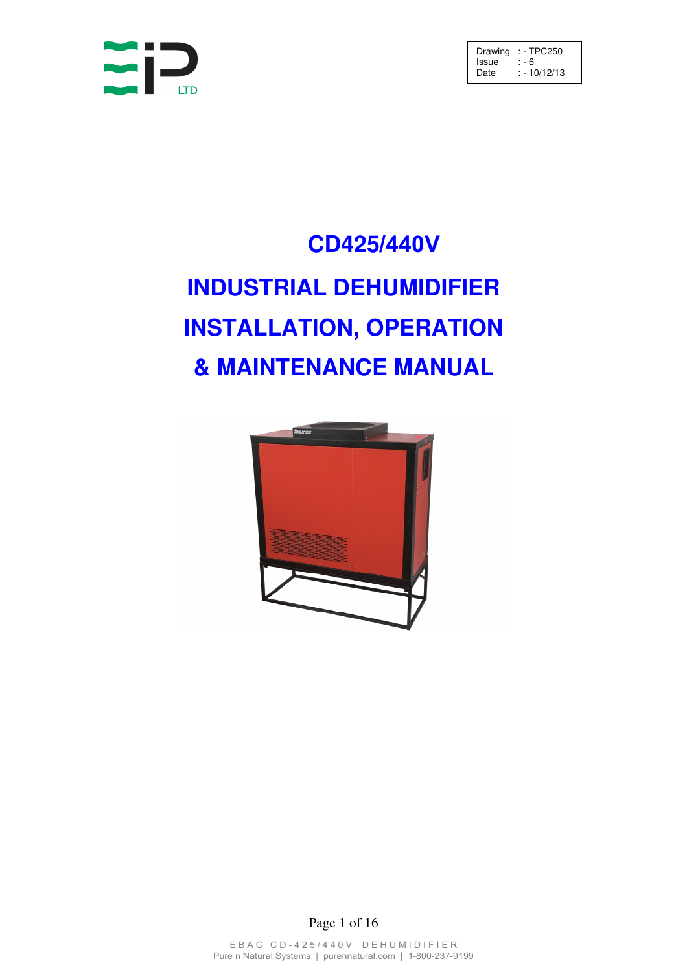

Drawing : - TPC250<br>Issue : - 6 Issue<br>Date  $\frac{1}{2}$  - 10/12/13

# **CD425/440V INDUSTRIAL DEHUMIDIFIER INSTALLATION, OPERATION & MAINTENANCE MANUAL**



Page 1 of 16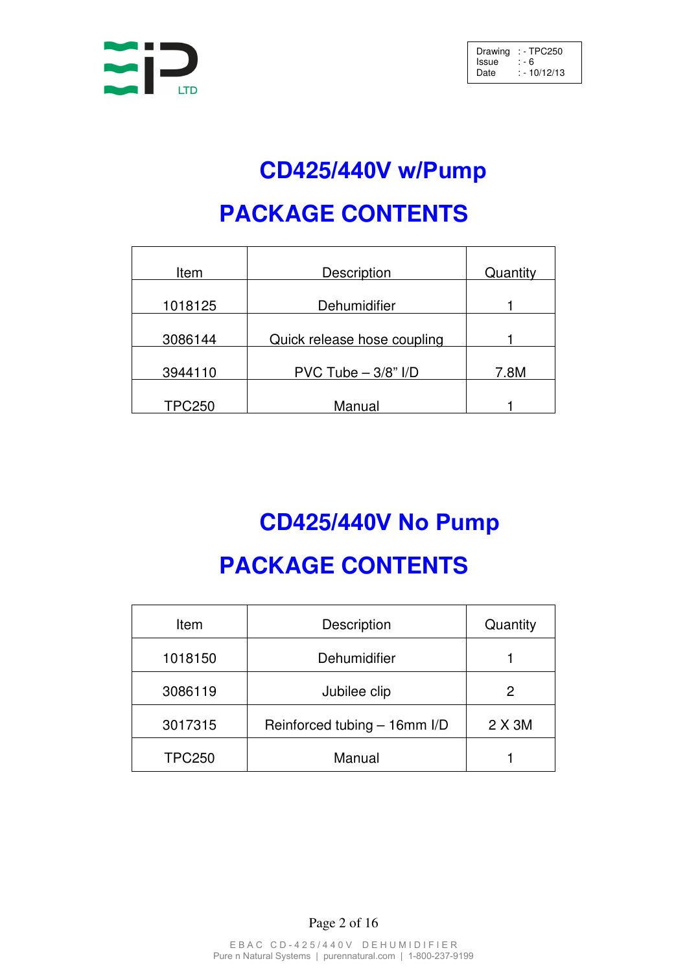

Drawing : - TPC250<br>Issue : - 6 Issue<br>Date  $\frac{1}{2}$  - 10/12/13

## **CD425/440V w/Pump PACKAGE CONTENTS**

| Item          | Description                 | Quantity |
|---------------|-----------------------------|----------|
|               |                             |          |
| 1018125       | Dehumidifier                |          |
|               |                             |          |
| 3086144       | Quick release hose coupling |          |
|               |                             |          |
| 3944110       | PVC Tube $-3/8$ " I/D       |          |
|               |                             |          |
| <b>TPC250</b> | Manual                      |          |

## **CD425/440V No Pump**

## **PACKAGE CONTENTS**

| Item          | Description                  | Quantity |  |
|---------------|------------------------------|----------|--|
| 1018150       | Dehumidifier                 |          |  |
| 3086119       | Jubilee clip                 |          |  |
| 3017315       | Reinforced tubing - 16mm I/D | 2 X 3M   |  |
| <b>TPC250</b> | Manual                       |          |  |

Page 2 of 16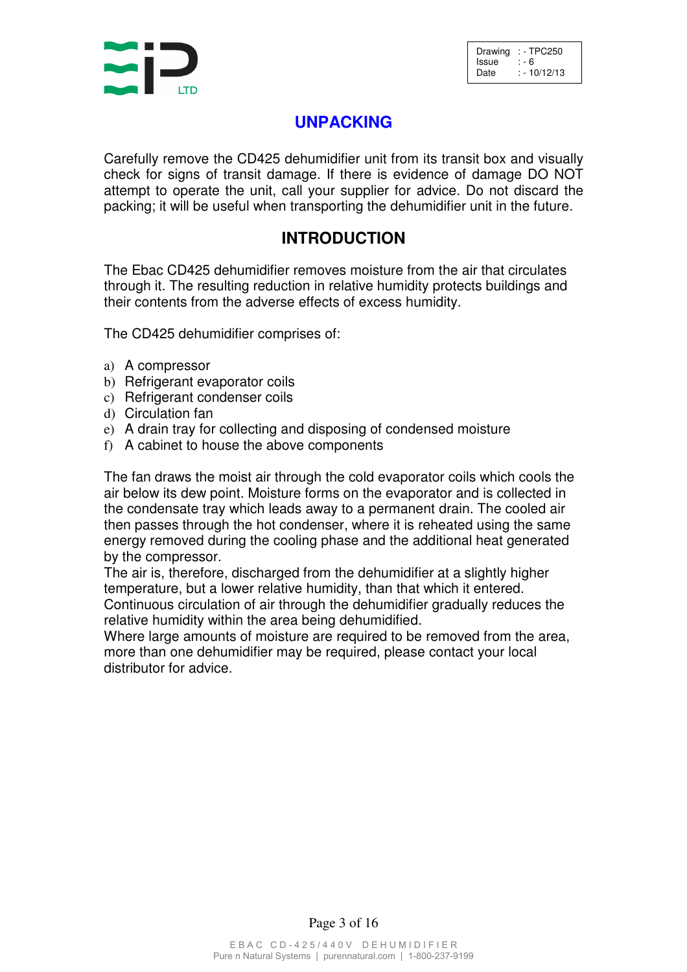## **UNPACKING**

Carefully remove the CD425 dehumidifier unit from its transit box and visually check for signs of transit damage. If there is evidence of damage DO NOT attempt to operate the unit, call your supplier for advice. Do not discard the packing; it will be useful when transporting the dehumidifier unit in the future.

## **INTRODUCTION**

The Ebac CD425 dehumidifier removes moisture from the air that circulates through it. The resulting reduction in relative humidity protects buildings and their contents from the adverse effects of excess humidity.

The CD425 dehumidifier comprises of:

- a) A compressor
- b) Refrigerant evaporator coils
- c) Refrigerant condenser coils
- d) Circulation fan
- e) A drain tray for collecting and disposing of condensed moisture
- f) A cabinet to house the above components

The fan draws the moist air through the cold evaporator coils which cools the air below its dew point. Moisture forms on the evaporator and is collected in the condensate tray which leads away to a permanent drain. The cooled air then passes through the hot condenser, where it is reheated using the same energy removed during the cooling phase and the additional heat generated by the compressor.

The air is, therefore, discharged from the dehumidifier at a slightly higher temperature, but a lower relative humidity, than that which it entered. Continuous circulation of air through the dehumidifier gradually reduces the relative humidity within the area being dehumidified.

Where large amounts of moisture are required to be removed from the area, more than one dehumidifier may be required, please contact your local distributor for advice.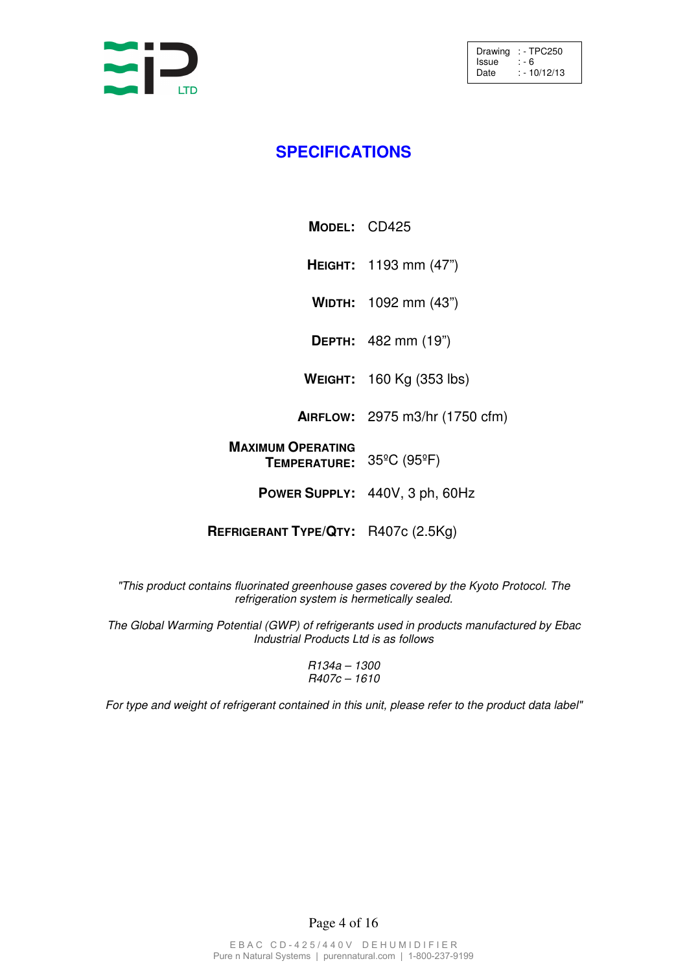

## **SPECIFICATIONS**

| MODEL: CD425                             |                                       |
|------------------------------------------|---------------------------------------|
|                                          | <b>HEIGHT:</b> 1193 mm (47")          |
|                                          | <b>WIDTH:</b> 1092 mm (43")           |
|                                          | <b>DEPTH:</b> 482 mm (19")            |
|                                          | <b>WEIGHT:</b> 160 Kg (353 lbs)       |
|                                          | <b>AIRFLOW:</b> 2975 m3/hr (1750 cfm) |
| <b>MAXIMUM OPERATING</b><br>TEMPERATURE: | 35°C (95°F)                           |
|                                          | POWER SUPPLY: 440V, 3 ph, 60Hz        |

**REFRIGERANT TYPE/QTY:** R407c (2.5Kg)

"This product contains fluorinated greenhouse gases covered by the Kyoto Protocol. The refrigeration system is hermetically sealed.

The Global Warming Potential (GWP) of refrigerants used in products manufactured by Ebac Industrial Products Ltd is as follows

> R134a – 1300 R407c – 1610

For type and weight of refrigerant contained in this unit, please refer to the product data label"

Page 4 of 16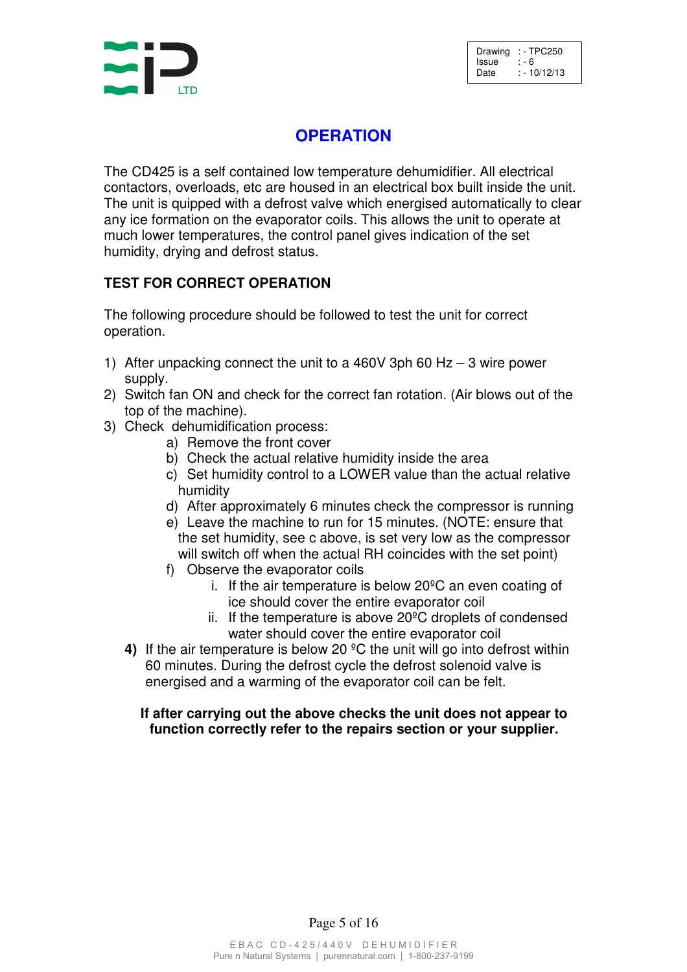## **OPERATION**

The CD425 is a self contained low temperature dehumidifier. All electrical contactors, overloads, etc are housed in an electrical box built inside the unit. The unit is quipped with a defrost valve which energised automatically to clear any ice formation on the evaporator coils. This allows the unit to operate at much lower temperatures, the control panel gives indication of the set humidity, drying and defrost status.

## **TEST FOR CORRECT OPERATION**

The following procedure should be followed to test the unit for correct operation.

- 1) After unpacking connect the unit to a 460V 3ph 60 Hz 3 wire power supply.
- 2) Switch fan ON and check for the correct fan rotation. (Air blows out of the top of the machine).
- 3) Check dehumidification process:
	- a) Remove the front cover
	- b) Check the actual relative humidity inside the area
	- c) Set humidity control to a LOWER value than the actual relative humidity
	- d) After approximately 6 minutes check the compressor is running
	- e) Leave the machine to run for 15 minutes. (NOTE: ensure that the set humidity, see c above, is set very low as the compressor will switch off when the actual RH coincides with the set point)
	- f) Observe the evaporator coils
		- i. If the air temperature is below  $20^{\circ}$ C an even coating of ice should cover the entire evaporator coil
		- ii. If the temperature is above 20ºC droplets of condensed water should cover the entire evaporator coil
	- **4)** If the air temperature is below 20 ºC the unit will go into defrost within 60 minutes. During the defrost cycle the defrost solenoid valve is energised and a warming of the evaporator coil can be felt.

#### **If after carrying out the above checks the unit does not appear to function correctly refer to the repairs section or your supplier.**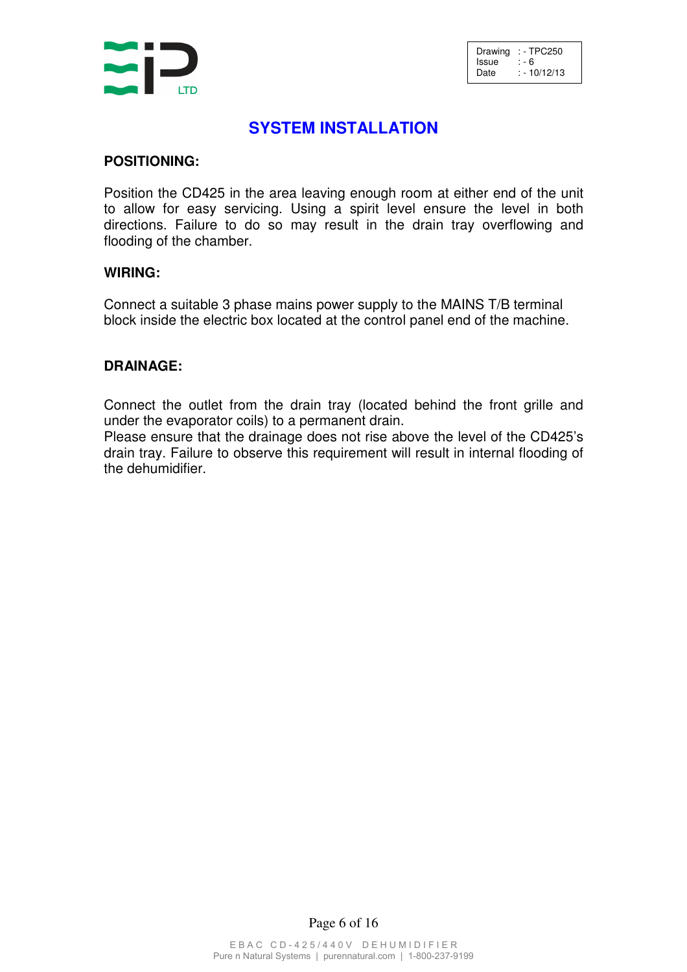

## **SYSTEM INSTALLATION**

#### **POSITIONING:**

Position the CD425 in the area leaving enough room at either end of the unit to allow for easy servicing. Using a spirit level ensure the level in both directions. Failure to do so may result in the drain tray overflowing and flooding of the chamber.

#### **WIRING:**

Connect a suitable 3 phase mains power supply to the MAINS T/B terminal block inside the electric box located at the control panel end of the machine.

#### **DRAINAGE:**

Connect the outlet from the drain tray (located behind the front grille and under the evaporator coils) to a permanent drain.

Please ensure that the drainage does not rise above the level of the CD425's drain tray. Failure to observe this requirement will result in internal flooding of the dehumidifier.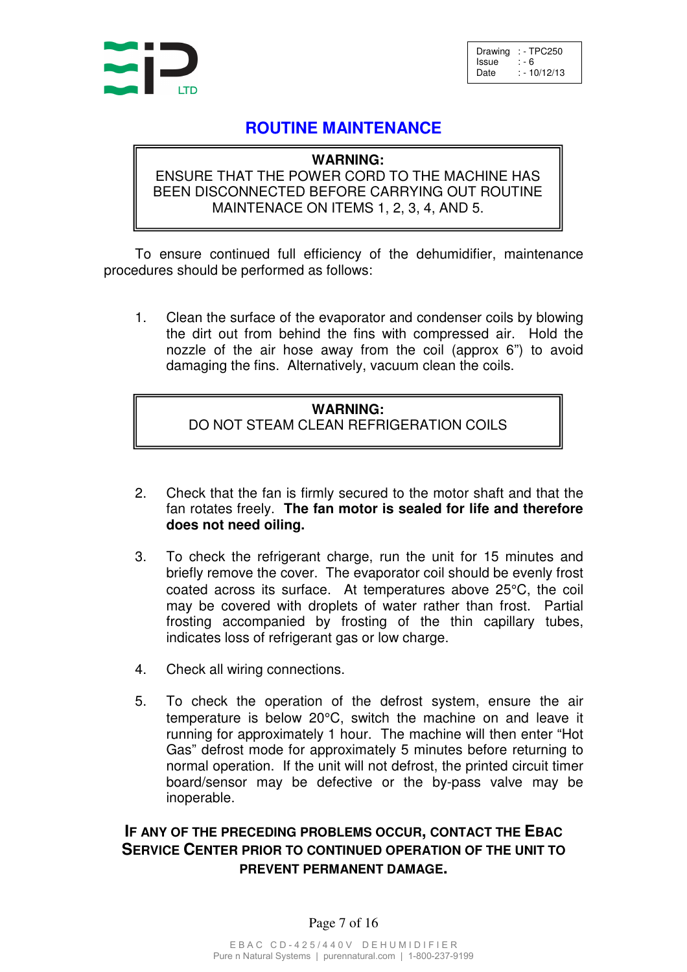

Drawing  $:$  - TPC250<br>Issue  $:$  - 6 Issue Date : - 10/12/13

## **ROUTINE MAINTENANCE**

#### **WARNING:**

#### ENSURE THAT THE POWER CORD TO THE MACHINE HAS BEEN DISCONNECTED BEFORE CARRYING OUT ROUTINE MAINTENACE ON ITEMS 1, 2, 3, 4, AND 5.

To ensure continued full efficiency of the dehumidifier, maintenance procedures should be performed as follows:

1. Clean the surface of the evaporator and condenser coils by blowing the dirt out from behind the fins with compressed air. Hold the nozzle of the air hose away from the coil (approx 6") to avoid damaging the fins. Alternatively, vacuum clean the coils.

#### **WARNING:**

DO NOT STEAM CLEAN REFRIGERATION COILS

- 2. Check that the fan is firmly secured to the motor shaft and that the fan rotates freely. **The fan motor is sealed for life and therefore does not need oiling.**
- 3. To check the refrigerant charge, run the unit for 15 minutes and briefly remove the cover. The evaporator coil should be evenly frost coated across its surface. At temperatures above 25°C, the coil may be covered with droplets of water rather than frost. Partial frosting accompanied by frosting of the thin capillary tubes, indicates loss of refrigerant gas or low charge.
- 4. Check all wiring connections.
- 5. To check the operation of the defrost system, ensure the air temperature is below 20°C, switch the machine on and leave it running for approximately 1 hour. The machine will then enter "Hot Gas" defrost mode for approximately 5 minutes before returning to normal operation. If the unit will not defrost, the printed circuit timer board/sensor may be defective or the by-pass valve may be inoperable.

#### **IF ANY OF THE PRECEDING PROBLEMS OCCUR, CONTACT THE EBAC SERVICE CENTER PRIOR TO CONTINUED OPERATION OF THE UNIT TO PREVENT PERMANENT DAMAGE.**

#### Page 7 of 16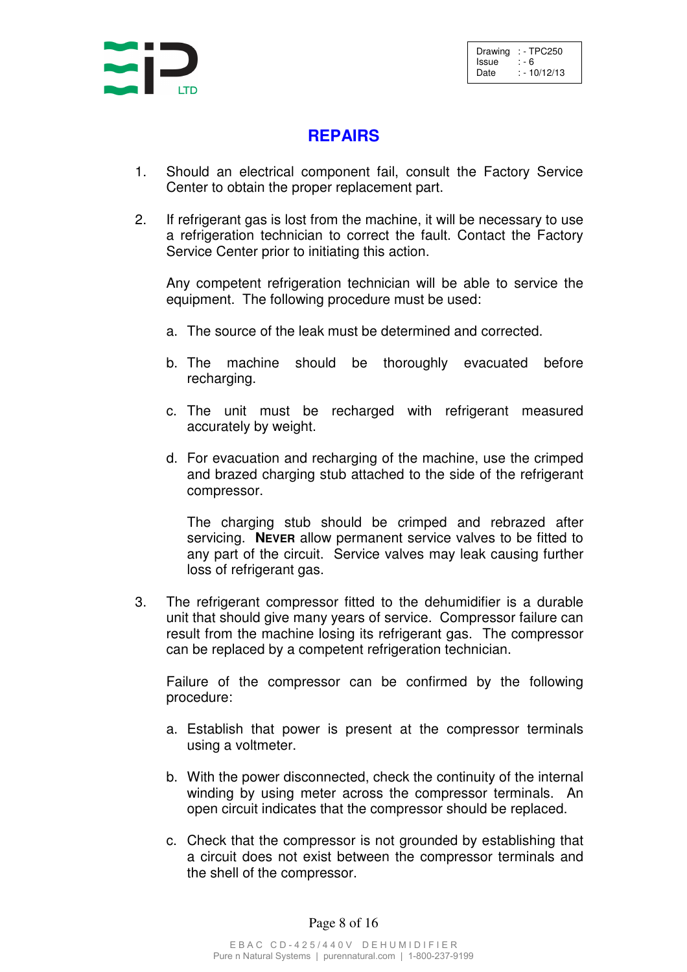

## **REPAIRS**

- 1. Should an electrical component fail, consult the Factory Service Center to obtain the proper replacement part.
- 2. If refrigerant gas is lost from the machine, it will be necessary to use a refrigeration technician to correct the fault. Contact the Factory Service Center prior to initiating this action.

Any competent refrigeration technician will be able to service the equipment. The following procedure must be used:

- a. The source of the leak must be determined and corrected.
- b. The machine should be thoroughly evacuated before recharging.
- c. The unit must be recharged with refrigerant measured accurately by weight.
- d. For evacuation and recharging of the machine, use the crimped and brazed charging stub attached to the side of the refrigerant compressor.

The charging stub should be crimped and rebrazed after servicing. **NEVER** allow permanent service valves to be fitted to any part of the circuit. Service valves may leak causing further loss of refrigerant gas.

3. The refrigerant compressor fitted to the dehumidifier is a durable unit that should give many years of service. Compressor failure can result from the machine losing its refrigerant gas. The compressor can be replaced by a competent refrigeration technician.

Failure of the compressor can be confirmed by the following procedure:

- a. Establish that power is present at the compressor terminals using a voltmeter.
- b. With the power disconnected, check the continuity of the internal winding by using meter across the compressor terminals. An open circuit indicates that the compressor should be replaced.
- c. Check that the compressor is not grounded by establishing that a circuit does not exist between the compressor terminals and the shell of the compressor.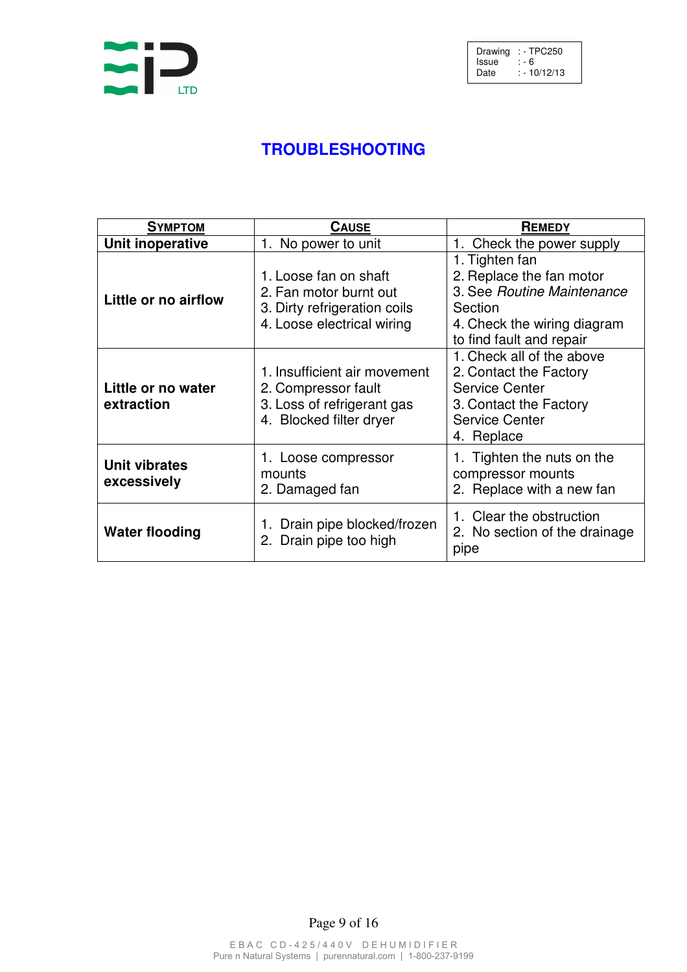

## **TROUBLESHOOTING**

| <b>SYMPTOM</b>                      | <b>CAUSE</b>                                                                                                  | <b>REMEDY</b>                                                                                                                                  |
|-------------------------------------|---------------------------------------------------------------------------------------------------------------|------------------------------------------------------------------------------------------------------------------------------------------------|
| <b>Unit inoperative</b>             | 1. No power to unit                                                                                           | 1. Check the power supply                                                                                                                      |
| Little or no airflow                | 1. Loose fan on shaft<br>2. Fan motor burnt out<br>3. Dirty refrigeration coils<br>4. Loose electrical wiring | 1. Tighten fan<br>2. Replace the fan motor<br>3. See Routine Maintenance<br>Section<br>4. Check the wiring diagram<br>to find fault and repair |
| Little or no water<br>extraction    | 1. Insufficient air movement<br>2. Compressor fault<br>3. Loss of refrigerant gas<br>4. Blocked filter dryer  | 1. Check all of the above<br>2. Contact the Factory<br><b>Service Center</b><br>3. Contact the Factory<br><b>Service Center</b><br>4. Replace  |
| <b>Unit vibrates</b><br>excessively | 1. Loose compressor<br>mounts<br>2. Damaged fan                                                               | 1. Tighten the nuts on the<br>compressor mounts<br>2. Replace with a new fan                                                                   |
| <b>Water flooding</b>               | Drain pipe blocked/frozen<br>2. Drain pipe too high                                                           | 1. Clear the obstruction<br>2. No section of the drainage<br>pipe                                                                              |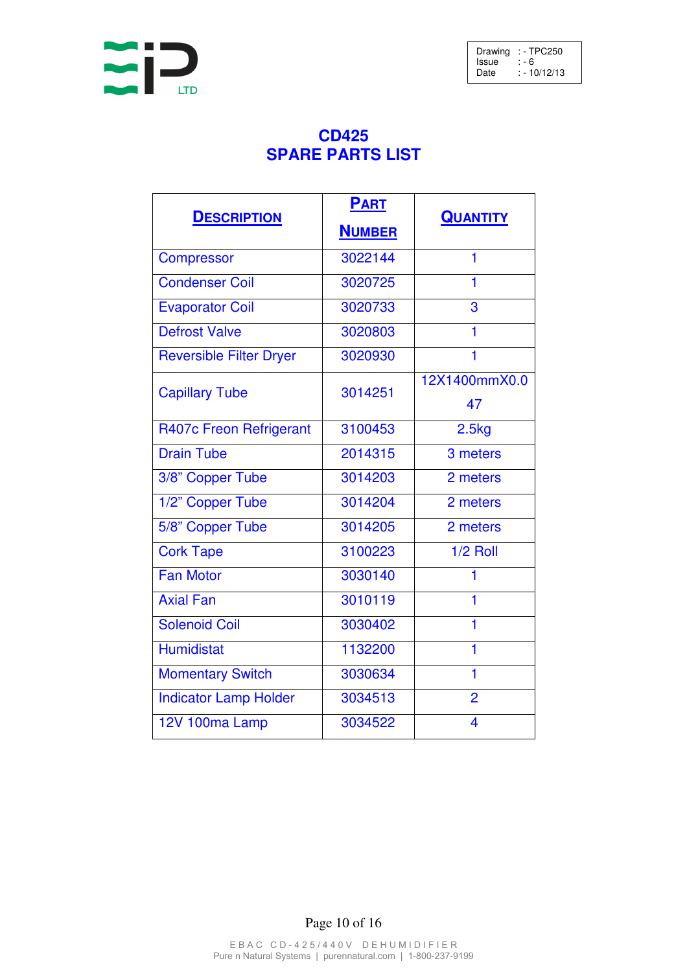

## **CD425 SPARE PARTS LIST**

| <b>DESCRIPTION</b>             | <b>PART</b>   | <b>QUANTITY</b>         |  |
|--------------------------------|---------------|-------------------------|--|
|                                | <b>NUMBER</b> |                         |  |
| <b>Compressor</b>              | 3022144       | 1                       |  |
| <b>Condenser Coil</b>          | 3020725       | $\overline{\mathbf{1}}$ |  |
| <b>Evaporator Coil</b>         | 3020733       | 3                       |  |
| <b>Defrost Valve</b>           | 3020803       |                         |  |
| <b>Reversible Filter Dryer</b> | 3020930       | 1                       |  |
| <b>Capillary Tube</b>          | 3014251       | 12X1400mmX0.0           |  |
|                                |               | 47                      |  |
| <b>R407c Freon Refrigerant</b> | 3100453       | 2.5kg                   |  |
| <b>Drain Tube</b>              | 2014315       | 3 meters                |  |
| 3/8" Copper Tube               | 3014203       | 2 meters                |  |
| 1/2" Copper Tube               | 3014204       | 2 meters                |  |
| 5/8" Copper Tube               | 3014205       | 2 meters                |  |
| <b>Cork Tape</b>               | 3100223       | $1/2$ Roll              |  |
| <b>Fan Motor</b>               | 3030140       | 1                       |  |
| <b>Axial Fan</b>               | 3010119       |                         |  |
| <b>Solenoid Coil</b>           | 3030402       | 1                       |  |
| <b>Humidistat</b>              | 1132200       | 1                       |  |
| Momentary Switch               | 3030634       | $\overline{\mathbf{1}}$ |  |
| <b>Indicator Lamp Holder</b>   | 3034513       | $\overline{2}$          |  |
| 12V 100ma Lamp                 | 3034522       | $\overline{\mathbf{4}}$ |  |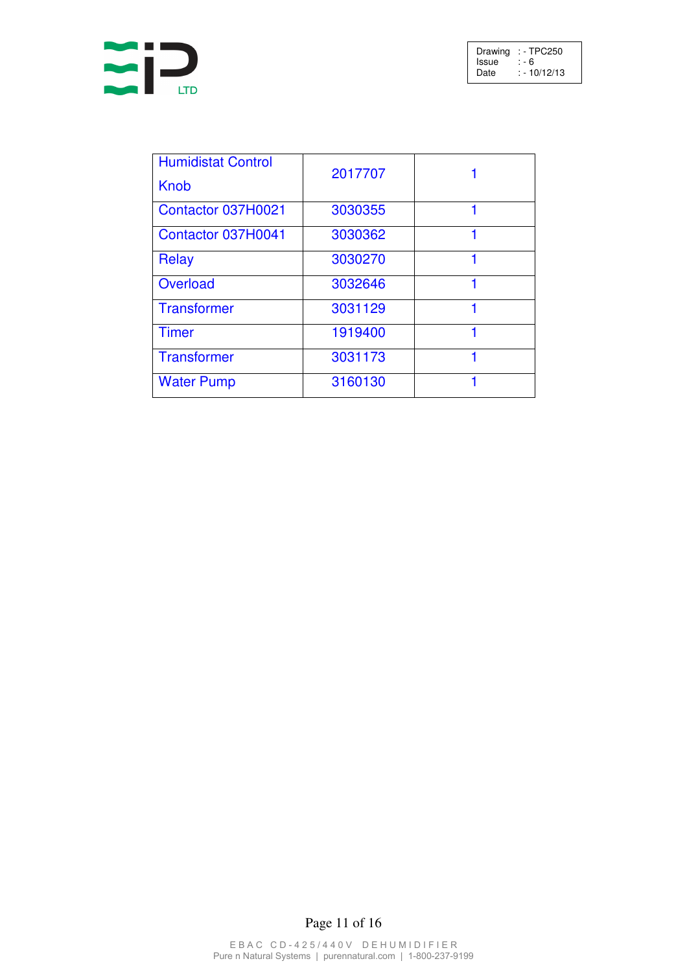

| <b>Humidistat Control</b><br><b>Knob</b> | 2017707 |   |
|------------------------------------------|---------|---|
| Contactor 037H0021                       | 3030355 |   |
| Contactor 037H0041                       | 3030362 |   |
| <b>Relay</b>                             | 3030270 |   |
| Overload                                 | 3032646 |   |
| <b>Transformer</b>                       | 3031129 |   |
| <b>Timer</b>                             | 1919400 |   |
| <b>Transformer</b>                       | 3031173 | ┥ |
| <b>Water Pump</b>                        | 3160130 |   |

#### Page 11 of 16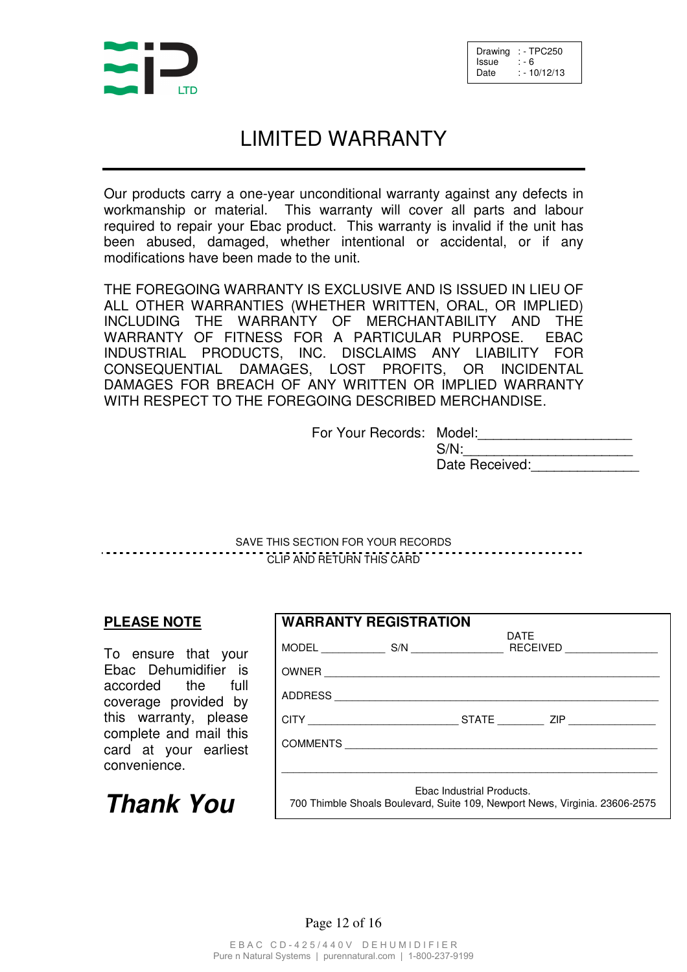

Drawing  $:$  - TPC250<br>Issue  $:$  - 6 Issue Date : - 10/12/13

## LIMITED WARRANTY

Our products carry a one-year unconditional warranty against any defects in workmanship or material. This warranty will cover all parts and labour required to repair your Ebac product. This warranty is invalid if the unit has been abused, damaged, whether intentional or accidental, or if any modifications have been made to the unit.

THE FOREGOING WARRANTY IS EXCLUSIVE AND IS ISSUED IN LIEU OF ALL OTHER WARRANTIES (WHETHER WRITTEN, ORAL, OR IMPLIED) INCLUDING THE WARRANTY OF MERCHANTABILITY AND THE WARRANTY OF FITNESS FOR A PARTICULAR PURPOSE. EBAC INDUSTRIAL PRODUCTS, INC. DISCLAIMS ANY LIABILITY FOR CONSEQUENTIAL DAMAGES, LOST PROFITS, OR INCIDENTAL DAMAGES FOR BREACH OF ANY WRITTEN OR IMPLIED WARRANTY WITH RESPECT TO THE FOREGOING DESCRIBED MERCHANDISE.

For Your Records: Model:

| Date Received: |  |
|----------------|--|

SAVE THIS SECTION FOR YOUR RECORDS CLIP AND RETURN THIS CARD

**Thank You**

| <b>PLEASE NOTE</b>                                                                                                                                                                   | <b>WARRANTY REGISTRATION</b> |  |             |  |
|--------------------------------------------------------------------------------------------------------------------------------------------------------------------------------------|------------------------------|--|-------------|--|
| To ensure that your<br>Ebac Dehumidifier is<br>accorded the full<br>coverage provided by<br>this warranty, please<br>complete and mail this<br>card at your earliest<br>convenience. |                              |  | <b>DATE</b> |  |
| Ebac Industrial Products.<br><b>Thank You</b><br>700 Thimble Shoals Boulevard, Suite 109, Newport News, Virginia. 23606-2575                                                         |                              |  |             |  |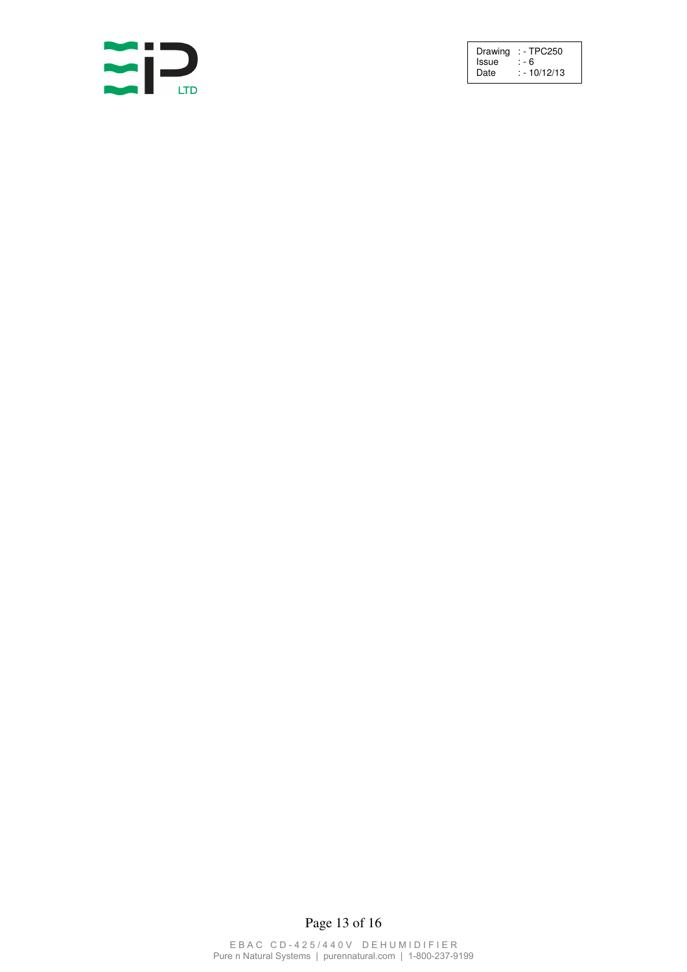

#### Page 13 of 16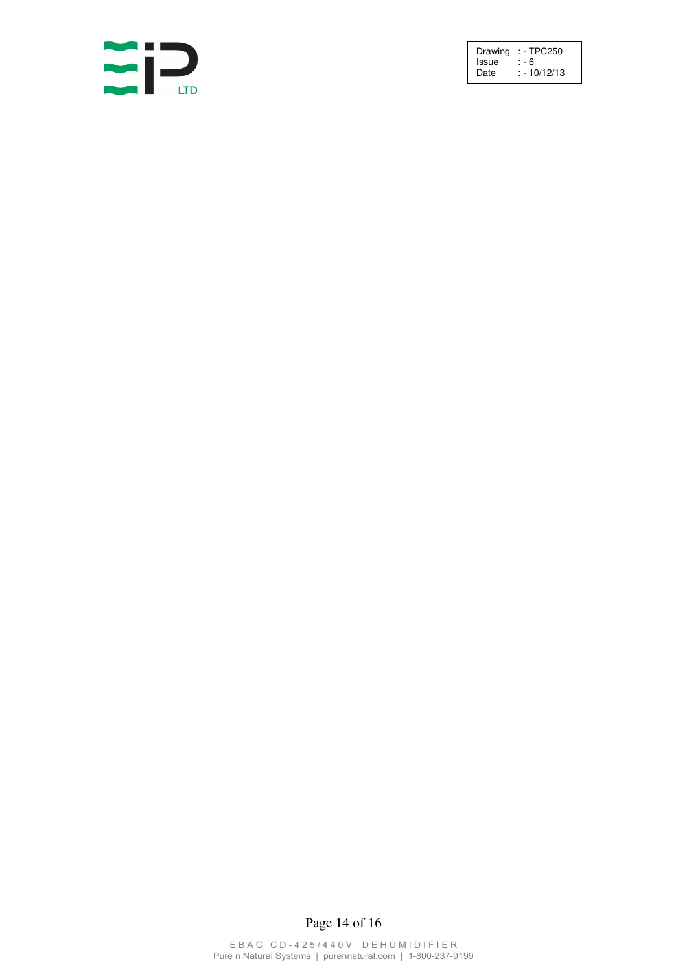

#### Page 14 of 16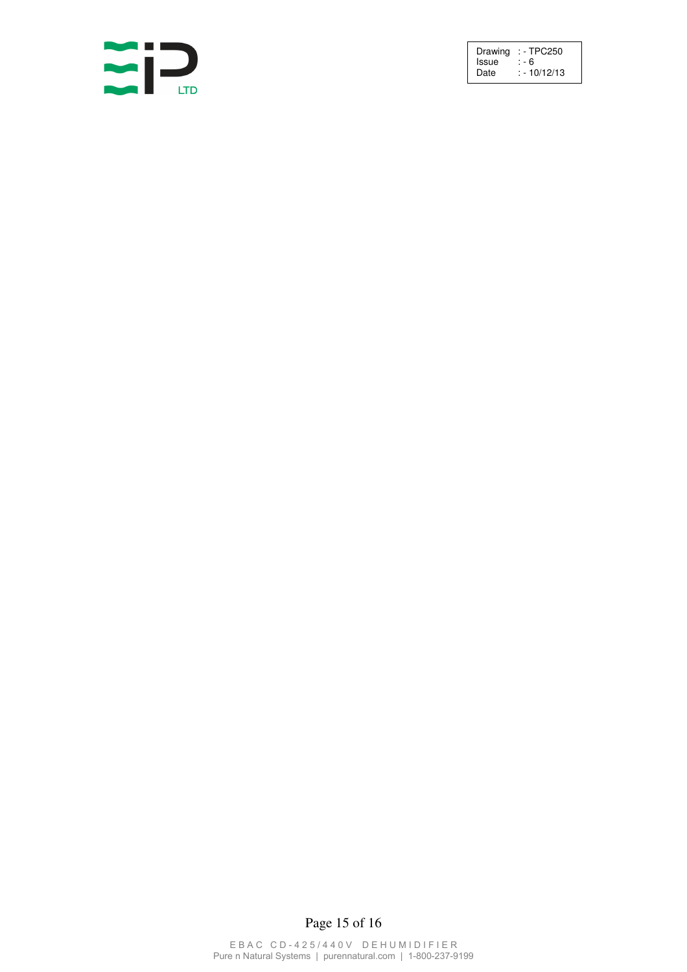

### Page 15 of 16